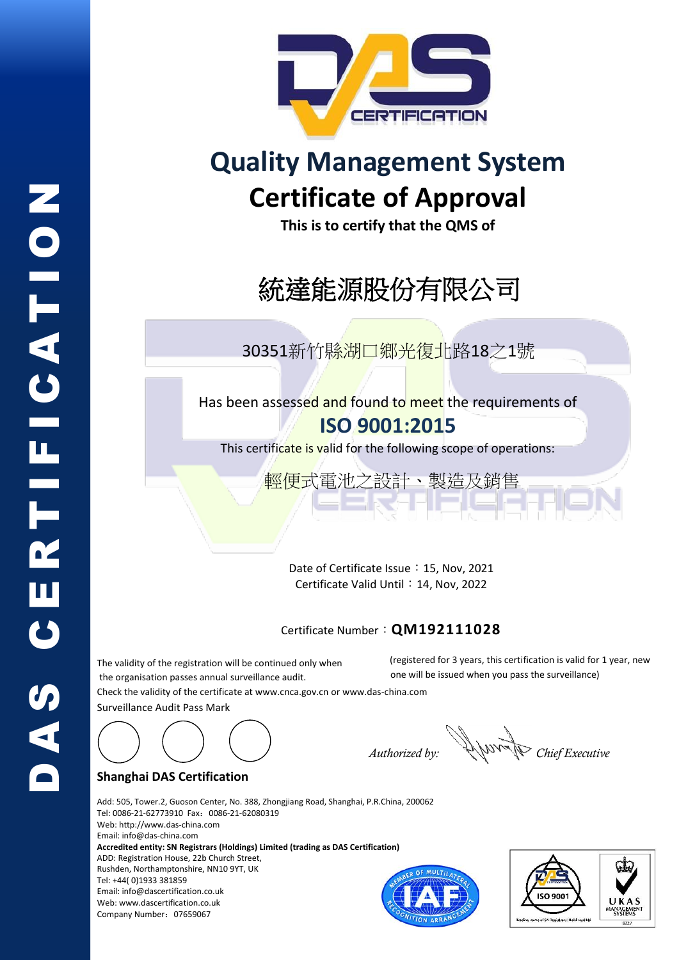

# **Quality Management System Certificate of Approval**

**This is to certify that the QMS of**

# 統達能源股份有限公司

30351新竹縣湖口鄉光復北路18之1號

Has been assessed and found to meet the requirements of **ISO 9001:2015**

This certificate is valid for the following scope of operations:

**輕便式**電池之設計、製造及銷售

Date of Certificate Issue: 15, Nov, 2021 Certificate Valid Until: 14, Nov, 2022

### Certificate Number:**QM192111028**

The validity of the registration will be continued only when the organisation passes annual surveillance audit. Check the validity of the certificate at [www.cnca.gov.cn](http://www.cnca.gov.cn/) or www.das-china.com Surveillance Audit Pass Mark (registered for 3 years, this certification is valid for 1 year, new one will be issued when you pass the surveillance)



#### **Shanghai DAS Certification**

Company Number:07659067

Add: 505, Tower.2, Guoson Center, No. 388, Zhongjiang Road, Shanghai, P.R.China, 200062 Tel: 0086-21-62773910 Fax:0086-21-62080319 Web[: http://www.das-china.com](http://www.das-china.com/)  Email[: info@das-china.com](mailto:info@das-china.com) **Accredited entity: SN Registrars (Holdings) Limited (trading as DAS Certification)** ADD: Registration House, 22b Church Street, Rushden, Northamptonshire, NN10 9YT, UK Tel: +44( 0)1933 381859 Email: info@dascertification.co.uk Web[: www.dascertification.co.uk](http://www.dascertification.co.uk/)



*Authorized by: Chief Executive*

D A S C E R T I F I C A T I O N **CERTICATION** DAS